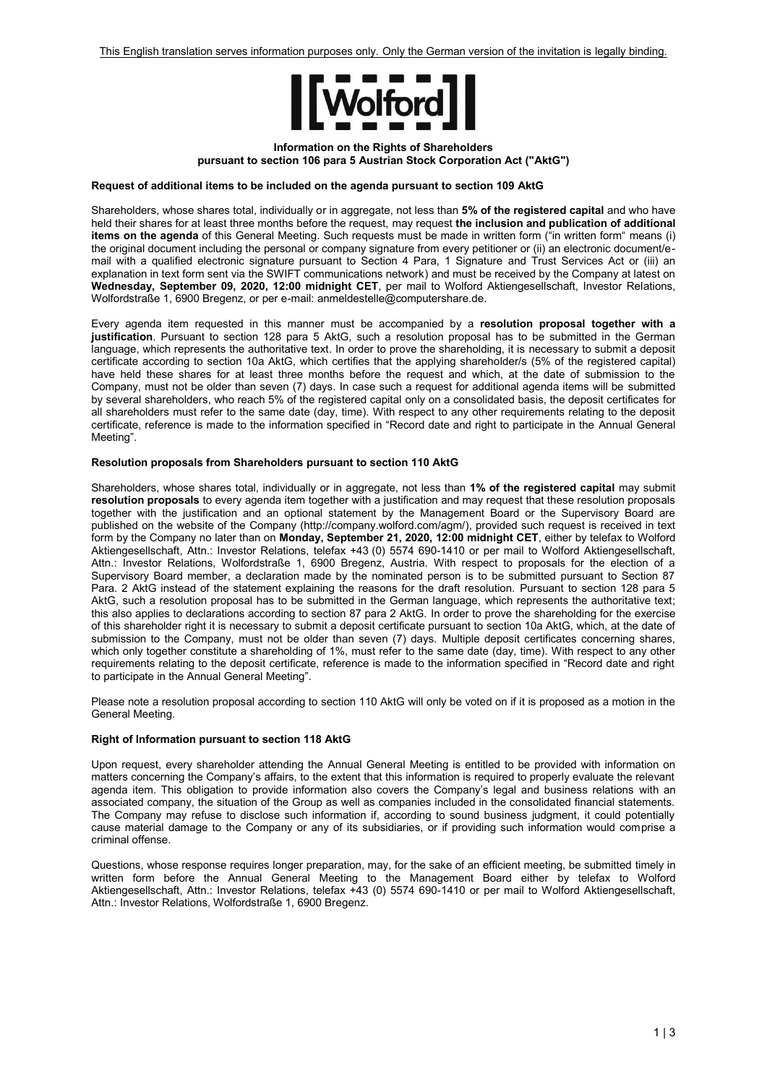

## **Information on the Rights of Shareholders pursuant to section 106 para 5 Austrian Stock Corporation Act ("AktG")**

## **Request of additional items to be included on the agenda pursuant to section 109 AktG**

Shareholders, whose shares total, individually or in aggregate, not less than **5% of the registered capital** and who have held their shares for at least three months before the request, may request **the inclusion and publication of additional items on the agenda** of this General Meeting. Such requests must be made in written form ("in written form" means (i) the original document including the personal or company signature from every petitioner or (ii) an electronic document/email with a qualified electronic signature pursuant to Section 4 Para, 1 Signature and Trust Services Act or (iii) an explanation in text form sent via the SWIFT communications network) and must be received by the Company at latest on **Wednesday, September 09, 2020, 12:00 midnight CET**, per mail to Wolford Aktiengesellschaft, Investor Relations, Wolfordstraße 1, 6900 Bregenz, or per e-mail: anmeldestelle@computershare.de.

Every agenda item requested in this manner must be accompanied by a **resolution proposal together with a justification**. Pursuant to section 128 para 5 AktG, such a resolution proposal has to be submitted in the German language, which represents the authoritative text. In order to prove the shareholding, it is necessary to submit a deposit certificate according to section 10a AktG, which certifies that the applying shareholder/s (5% of the registered capital) have held these shares for at least three months before the request and which, at the date of submission to the Company, must not be older than seven (7) days. In case such a request for additional agenda items will be submitted by several shareholders, who reach 5% of the registered capital only on a consolidated basis, the deposit certificates for all shareholders must refer to the same date (day, time). With respect to any other requirements relating to the deposit certificate, reference is made to the information specified in "Record date and right to participate in the Annual General Meeting".

## **Resolution proposals from Shareholders pursuant to section 110 AktG**

Shareholders, whose shares total, individually or in aggregate, not less than **1% of the registered capital** may submit **resolution proposals** to every agenda item together with a justification and may request that these resolution proposals together with the justification and an optional statement by the Management Board or the Supervisory Board are published on the website of the Company (http://company.wolford.com/agm/), provided such request is received in text form by the Company no later than on **Monday, September 21, 2020, 12:00 midnight CET**, either by telefax to Wolford Aktiengesellschaft, Attn.: Investor Relations, telefax +43 (0) 5574 690-1410 or per mail to Wolford Aktiengesellschaft, Attn.: Investor Relations, Wolfordstraße 1, 6900 Bregenz, Austria. With respect to proposals for the election of a Supervisory Board member, a declaration made by the nominated person is to be submitted pursuant to Section 87 Para. 2 AktG instead of the statement explaining the reasons for the draft resolution. Pursuant to section 128 para 5 AktG, such a resolution proposal has to be submitted in the German language, which represents the authoritative text; this also applies to declarations according to section 87 para 2 AktG. In order to prove the shareholding for the exercise of this shareholder right it is necessary to submit a deposit certificate pursuant to section 10a AktG, which, at the date of submission to the Company, must not be older than seven (7) days. Multiple deposit certificates concerning shares, which only together constitute a shareholding of 1%, must refer to the same date (day, time). With respect to any other requirements relating to the deposit certificate, reference is made to the information specified in "Record date and right to participate in the Annual General Meeting".

Please note a resolution proposal according to section 110 AktG will only be voted on if it is proposed as a motion in the General Meeting.

# **Right of Information pursuant to section 118 AktG**

Upon request, every shareholder attending the Annual General Meeting is entitled to be provided with information on matters concerning the Company's affairs, to the extent that this information is required to properly evaluate the relevant agenda item. This obligation to provide information also covers the Company's legal and business relations with an associated company, the situation of the Group as well as companies included in the consolidated financial statements. The Company may refuse to disclose such information if, according to sound business judgment, it could potentially cause material damage to the Company or any of its subsidiaries, or if providing such information would comprise a criminal offense.

Questions, whose response requires longer preparation, may, for the sake of an efficient meeting, be submitted timely in written form before the Annual General Meeting to the Management Board either by telefax to Wolford Aktiengesellschaft, Attn.: Investor Relations, telefax +43 (0) 5574 690-1410 or per mail to Wolford Aktiengesellschaft, Attn.: Investor Relations, Wolfordstraße 1, 6900 Bregenz.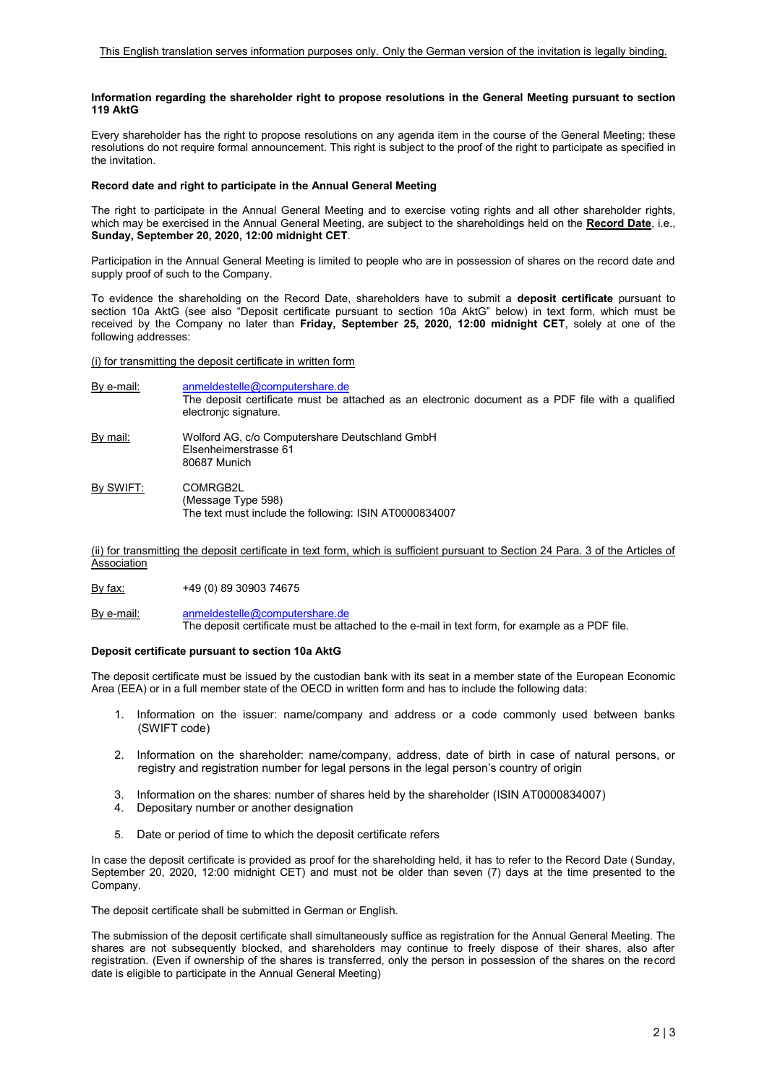#### **Information regarding the shareholder right to propose resolutions in the General Meeting pursuant to section 119 AktG**

Every shareholder has the right to propose resolutions on any agenda item in the course of the General Meeting; these resolutions do not require formal announcement. This right is subject to the proof of the right to participate as specified in the invitation.

#### **Record date and right to participate in the Annual General Meeting**

The right to participate in the Annual General Meeting and to exercise voting rights and all other shareholder rights, which may be exercised in the Annual General Meeting, are subject to the shareholdings held on the **Record Date**, i.e., **Sunday, September 20, 2020, 12:00 midnight CET**.

Participation in the Annual General Meeting is limited to people who are in possession of shares on the record date and supply proof of such to the Company.

To evidence the shareholding on the Record Date, shareholders have to submit a **deposit certificate** pursuant to section 10a AktG (see also "Deposit certificate pursuant to section 10a AktG" below) in text form, which must be received by the Company no later than **Friday, September 25, 2020, 12:00 midnight CET**, solely at one of the following addresses:

(i) for transmitting the deposit certificate in written form

- By e-mail: [anmeldestelle@computershare.de](mailto:anmeldestelle@computershare.de) The deposit certificate must be attached as an electronic document as a PDF file with a qualified electronjc signature. By mail: Wolford AG, c/o Computershare Deutschland GmbH Elsenheimerstrasse 61 80687 Munich
- By SWIFT: COMRGB2L (Message Type 598) The text must include the following: ISIN AT0000834007

(ii) for transmitting the deposit certificate in text form, which is sufficient pursuant to Section 24 Para. 3 of the Articles of **Association** 

By fax: +49 (0) 89 30903 74675

By e-mail: [anmeldestelle@computershare.de](mailto:anmeldestelle@computershare.de) The deposit certificate must be attached to the e-mail in text form, for example as a PDF file.

#### **Deposit certificate pursuant to section 10a AktG**

The deposit certificate must be issued by the custodian bank with its seat in a member state of the European Economic Area (EEA) or in a full member state of the OECD in written form and has to include the following data:

- 1. Information on the issuer: name/company and address or a code commonly used between banks (SWIFT code)
- 2. Information on the shareholder: name/company, address, date of birth in case of natural persons, or registry and registration number for legal persons in the legal person's country of origin
- 3. Information on the shares: number of shares held by the shareholder (ISIN AT0000834007)
- 4. Depositary number or another designation
- 5. Date or period of time to which the deposit certificate refers

In case the deposit certificate is provided as proof for the shareholding held, it has to refer to the Record Date (Sunday, September 20, 2020, 12:00 midnight CET) and must not be older than seven (7) days at the time presented to the Company

The deposit certificate shall be submitted in German or English.

The submission of the deposit certificate shall simultaneously suffice as registration for the Annual General Meeting. The shares are not subsequently blocked, and shareholders may continue to freely dispose of their shares, also after registration. (Even if ownership of the shares is transferred, only the person in possession of the shares on the record date is eligible to participate in the Annual General Meeting)